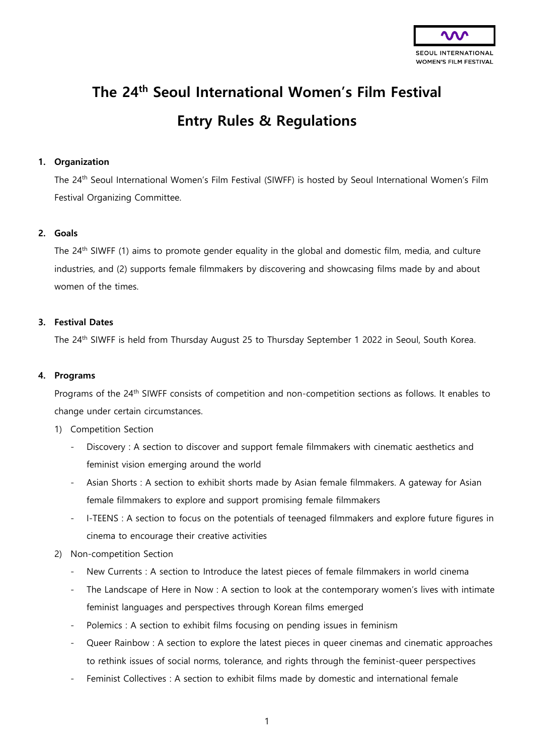

# **The 24th Seoul International Women's Film Festival Entry Rules & Regulations**

# **1. Organization**

The 24th Seoul International Women's Film Festival (SIWFF) is hosted by Seoul International Women's Film Festival Organizing Committee.

## **2. Goals**

The 24th SIWFF (1) aims to promote gender equality in the global and domestic film, media, and culture industries, and (2) supports female filmmakers by discovering and showcasing films made by and about women of the times.

## **3. Festival Dates**

The 24<sup>th</sup> SIWFF is held from Thursday August 25 to Thursday September 1 2022 in Seoul, South Korea.

#### **4. Programs**

Programs of the 24<sup>th</sup> SIWFF consists of competition and non-competition sections as follows. It enables to change under certain circumstances.

- 1) Competition Section
	- Discovery : A section to discover and support female filmmakers with cinematic aesthetics and feminist vision emerging around the world
	- Asian Shorts : A section to exhibit shorts made by Asian female filmmakers. A gateway for Asian female filmmakers to explore and support promising female filmmakers
	- I-TEENS : A section to focus on the potentials of teenaged filmmakers and explore future figures in cinema to encourage their creative activities
- 2) Non-competition Section
	- New Currents : A section to Introduce the latest pieces of female filmmakers in world cinema
	- The Landscape of Here in Now : A section to look at the contemporary women's lives with intimate feminist languages and perspectives through Korean films emerged
	- Polemics : A section to exhibit films focusing on pending issues in feminism
	- Queer Rainbow : A section to explore the latest pieces in queer cinemas and cinematic approaches to rethink issues of social norms, tolerance, and rights through the feminist-queer perspectives
	- Feminist Collectives : A section to exhibit films made by domestic and international female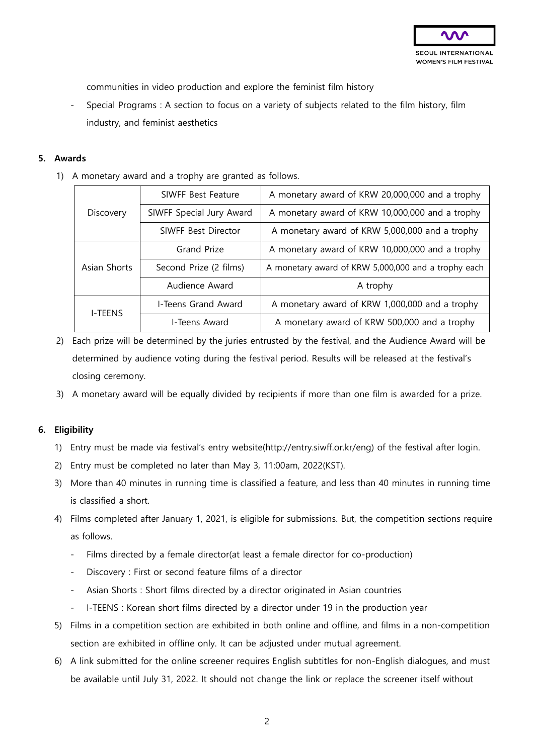

communities in video production and explore the feminist film history

- Special Programs : A section to focus on a variety of subjects related to the film history, film industry, and feminist aesthetics

#### **5. Awards**

1) A monetary award and a trophy are granted as follows.

| Discovery      | SIWFF Best Feature       | A monetary award of KRW 20,000,000 and a trophy     |
|----------------|--------------------------|-----------------------------------------------------|
|                | SIWFF Special Jury Award | A monetary award of KRW 10,000,000 and a trophy     |
|                | SIWFF Best Director      | A monetary award of KRW 5,000,000 and a trophy      |
| Asian Shorts   | <b>Grand Prize</b>       | A monetary award of KRW 10,000,000 and a trophy     |
|                | Second Prize (2 films)   | A monetary award of KRW 5,000,000 and a trophy each |
|                | Audience Award           | A trophy                                            |
| <b>I-TEENS</b> | I-Teens Grand Award      | A monetary award of KRW 1,000,000 and a trophy      |
|                | I-Teens Award            | A monetary award of KRW 500,000 and a trophy        |

- 2) Each prize will be determined by the juries entrusted by the festival, and the Audience Award will be determined by audience voting during the festival period. Results will be released at the festival's closing ceremony.
- 3) A monetary award will be equally divided by recipients if more than one film is awarded for a prize.

## **6. Eligibility**

- 1) Entry must be made via festival's entry website(http://entry.siwff.or.kr/eng) of the festival after login.
- 2) Entry must be completed no later than May 3, 11:00am, 2022(KST).
- 3) More than 40 minutes in running time is classified a feature, and less than 40 minutes in running time is classified a short.
- 4) Films completed after January 1, 2021, is eligible for submissions. But, the competition sections require as follows.
	- Films directed by a female director(at least a female director for co-production)
	- Discovery : First or second feature films of a director
	- Asian Shorts : Short films directed by a director originated in Asian countries
	- I-TEENS : Korean short films directed by a director under 19 in the production year
- 5) Films in a competition section are exhibited in both online and offline, and films in a non-competition section are exhibited in offline only. It can be adjusted under mutual agreement.
- 6) A link submitted for the online screener requires English subtitles for non-English dialogues, and must be available until July 31, 2022. It should not change the link or replace the screener itself without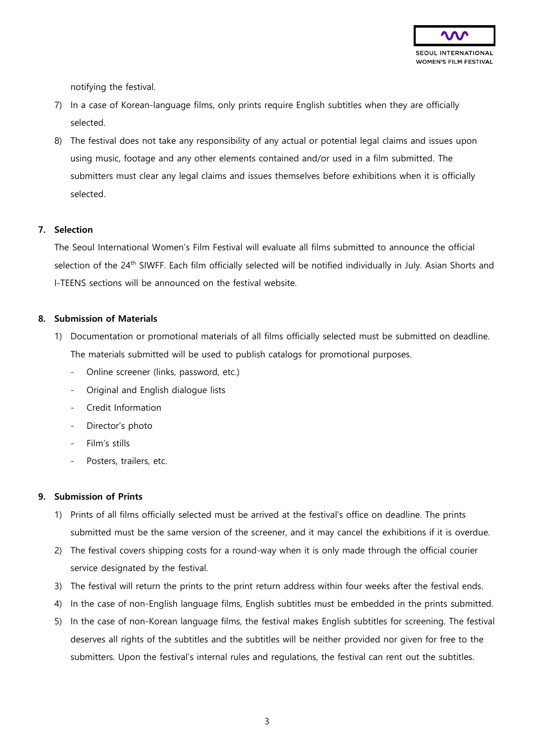

notifying the festival.

- 7) In a case of Korean-language films, only prints require English subtitles when they are officially selected.
- 8) The festival does not take any responsibility of any actual or potential legal claims and issues upon using music, footage and any other elements contained and/or used in a film submitted. The submitters must clear any legal claims and issues themselves before exhibitions when it is officially selected.

#### **7. Selection**

The Seoul International Women's Film Festival will evaluate all films submitted to announce the official selection of the 24<sup>th</sup> SIWFF. Each film officially selected will be notified individually in July. Asian Shorts and I-TEENS sections will be announced on the festival website.

#### **8. Submission of Materials**

- 1) Documentation or promotional materials of all films officially selected must be submitted on deadline. The materials submitted will be used to publish catalogs for promotional purposes.
	- Online screener (links, password, etc.)
	- Original and English dialogue lists
	- Credit Information
	- Director's photo
	- Film's stills
	- Posters, trailers, etc.

## **9. Submission of Prints**

- 1) Prints of all films officially selected must be arrived at the festival's office on deadline. The prints submitted must be the same version of the screener, and it may cancel the exhibitions if it is overdue.
- 2) The festival covers shipping costs for a round-way when it is only made through the official courier service designated by the festival.
- 3) The festival will return the prints to the print return address within four weeks after the festival ends.
- 4) In the case of non-English language films, English subtitles must be embedded in the prints submitted.
- 5) In the case of non-Korean language films, the festival makes English subtitles for screening. The festival deserves all rights of the subtitles and the subtitles will be neither provided nor given for free to the submitters. Upon the festival's internal rules and regulations, the festival can rent out the subtitles.